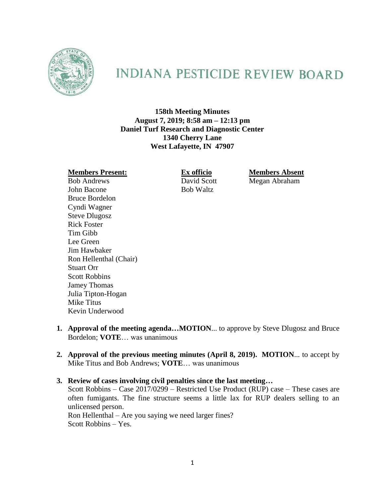

# **INDIANA PESTICIDE REVIEW BOARD**

**158th Meeting Minutes August 7, 2019; 8:58 am – 12:13 pm Daniel Turf Research and Diagnostic Center 1340 Cherry Lane West Lafayette, IN 47907**

John Bacone Bob Waltz Bruce Bordelon Cyndi Wagner Steve Dlugosz Rick Foster Tim Gibb Lee Green Jim Hawbaker Ron Hellenthal (Chair) Stuart Orr Scott Robbins Jamey Thomas Julia Tipton-Hogan Mike Titus Kevin Underwood

**Members Present: Ex officio Members Absent**<br> **Ex officio Members Absent**<br> **Ex officio Members Absent**<br> **Megan Abraham** Megan Abraham

- **1. Approval of the meeting agenda…MOTION**... to approve by Steve Dlugosz and Bruce Bordelon; **VOTE**… was unanimous
- **2. Approval of the previous meeting minutes (April 8, 2019). MOTION**... to accept by Mike Titus and Bob Andrews; **VOTE**… was unanimous
- **3. Review of cases involving civil penalties since the last meeting…** Scott Robbins – Case 2017/0299 – Restricted Use Product (RUP) case – These cases are often fumigants. The fine structure seems a little lax for RUP dealers selling to an unlicensed person. Ron Hellenthal – Are you saying we need larger fines?

Scott Robbins – Yes.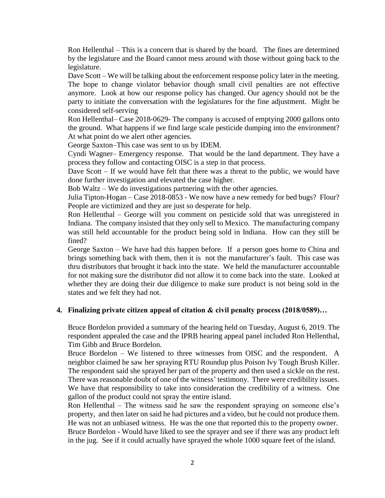Ron Hellenthal – This is a concern that is shared by the board. The fines are determined by the legislature and the Board cannot mess around with those without going back to the legislature.

Dave Scott – We will be talking about the enforcement response policy later in the meeting. The hope to change violator behavior though small civil penalties are not effective anymore. Look at how our response policy has changed. Our agency should not be the party to initiate the conversation with the legislatures for the fine adjustment. Might be considered self-serving

Ron Hellenthal– Case 2018-0629- The company is accused of emptying 2000 gallons onto the ground. What happens if we find large scale pesticide dumping into the environment? At what point do we alert other agencies.

George Saxton–This case was sent to us by IDEM.

Cyndi Wagner– Emergency response. That would be the land department. They have a process they follow and contacting OISC is a step in that process.

Dave Scott – If we would have felt that there was a threat to the public, we would have done further investigation and elevated the case higher.

Bob Waltz – We do investigations partnering with the other agencies.

Julia Tipton-Hogan – Case 2018-0853 - We now have a new remedy for bed bugs? Flour? People are victimized and they are just so desperate for help.

Ron Hellenthal – George will you comment on pesticide sold that was unregistered in Indiana. The company insisted that they only sell to Mexico. The manufacturing company was still held accountable for the product being sold in Indiana. How can they still be fined?

George Saxton – We have had this happen before. If a person goes home to China and brings something back with them, then it is not the manufacturer's fault. This case was thru distributors that brought it back into the state. We held the manufacturer accountable for not making sure the distributor did not allow it to come back into the state. Looked at whether they are doing their due diligence to make sure product is not being sold in the states and we felt they had not.

### **4. Finalizing private citizen appeal of citation & civil penalty process (2018/0589)…**

Bruce Bordelon provided a summary of the hearing held on Tuesday, August 6, 2019. The respondent appealed the case and the IPRB hearing appeal panel included Ron Hellenthal, Tim Gibb and Bruce Bordelon.

Bruce Bordelon – We listened to three witnesses from OISC and the respondent. A neighbor claimed he saw her spraying RTU Roundup plus Poison Ivy Tough Brush Killer. The respondent said she sprayed her part of the property and then used a sickle on the rest. There was reasonable doubt of one of the witness' testimony. There were credibility issues. We have that responsibility to take into consideration the credibility of a witness. One gallon of the product could not spray the entire island.

Ron Hellenthal – The witness said he saw the respondent spraying on someone else's property, and then later on said he had pictures and a video, but he could not produce them. He was not an unbiased witness. He was the one that reported this to the property owner. Bruce Bordelon - Would have liked to see the sprayer and see if there was any product left in the jug. See if it could actually have sprayed the whole 1000 square feet of the island.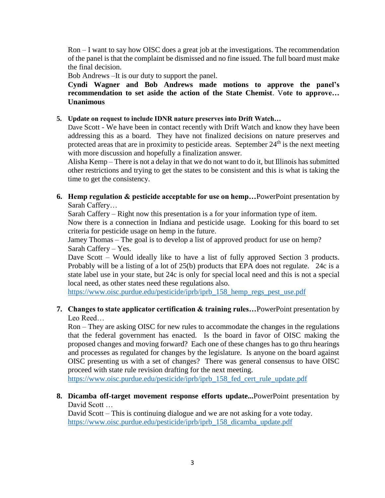Ron – I want to say how OISC does a great job at the investigations. The recommendation of the panel is that the complaint be dismissed and no fine issued. The full board must make the final decision.

Bob Andrews –It is our duty to support the panel.

**Cyndi Wagner and Bob Andrews made motions to approve the panel's recommendation to set aside the action of the State Chemist**. V**ote to approve… Unanimous**

#### **5. Update on request to include IDNR nature preserves into Drift Watch…**

Dave Scott - We have been in contact recently with Drift Watch and know they have been addressing this as a board. They have not finalized decisions on nature preserves and protected areas that are in proximity to pesticide areas. September  $24<sup>th</sup>$  is the next meeting with more discussion and hopefully a finalization answer.

Alisha Kemp – There is not a delay in that we do not want to do it, but Illinois has submitted other restrictions and trying to get the states to be consistent and this is what is taking the time to get the consistency.

**6. Hemp regulation & pesticide acceptable for use on hemp…**PowerPoint presentation by Sarah Caffery…

Sarah Caffery – Right now this presentation is a for your information type of item.

Now there is a connection in Indiana and pesticide usage. Looking for this board to set criteria for pesticide usage on hemp in the future.

Jamey Thomas – The goal is to develop a list of approved product for use on hemp? Sarah Caffery – Yes.

Dave Scott – Would ideally like to have a list of fully approved Section 3 products. Probably will be a listing of a lot of 25(b) products that EPA does not regulate. 24c is a state label use in your state, but 24c is only for special local need and this is not a special local need, as other states need these regulations also.

[https://www.oisc.purdue.edu/pesticide/iprb/iprb\\_158\\_hemp\\_regs\\_pest\\_use.pdf](https://www.oisc.purdue.edu/pesticide/iprb/iprb_158_hemp_regs_pest_use.pdf)

# **7. Changes to state applicator certification & training rules…**PowerPoint presentation by Leo Reed…

Ron – They are asking OISC for new rules to accommodate the changes in the regulations that the federal government has enacted. Is the board in favor of OISC making the proposed changes and moving forward? Each one of these changes has to go thru hearings and processes as regulated for changes by the legislature. Is anyone on the board against OISC presenting us with a set of changes? There was general consensus to have OISC proceed with state rule revision drafting for the next meeting.

[https://www.oisc.purdue.edu/pesticide/iprb/iprb\\_158\\_fed\\_cert\\_rule\\_update.pdf](https://www.oisc.purdue.edu/pesticide/iprb/iprb_158_fed_cert_rule_update.pdf)

# **8. Dicamba off-target movement response efforts update...**PowerPoint presentation by David Scott …

David Scott – This is continuing dialogue and we are not asking for a vote today. [https://www.oisc.purdue.edu/pesticide/iprb/iprb\\_158\\_dicamba\\_update.pdf](https://www.oisc.purdue.edu/pesticide/iprb/iprb_158_dicamba_update.pdf)